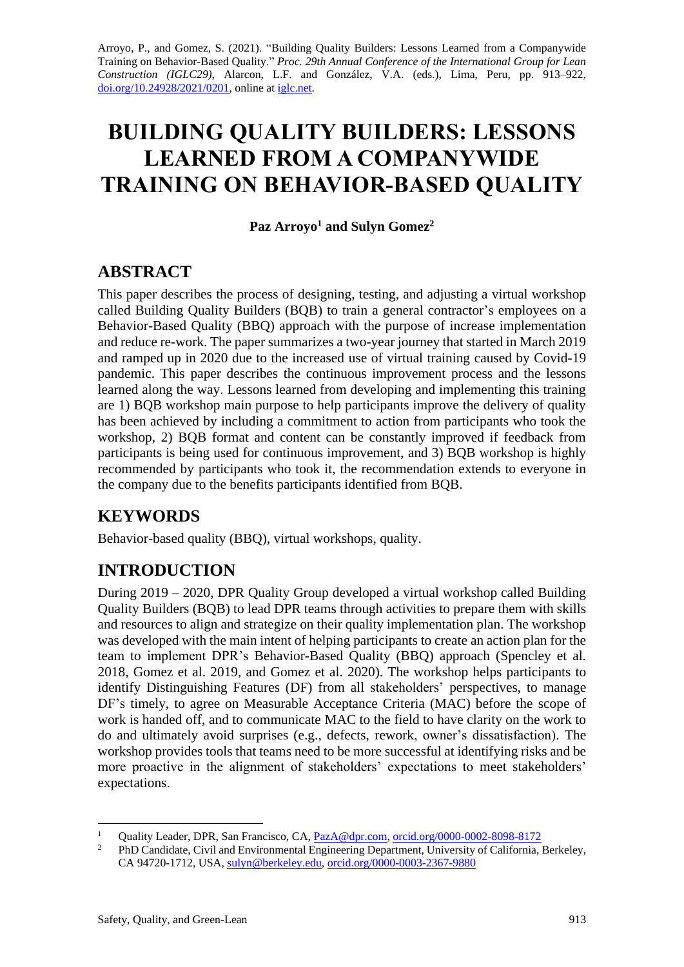Arroyo, P., and Gomez, S. (2021). "Building Quality Builders: Lessons Learned from a Companywide Training on Behavior-Based Quality." *Proc. 29th Annual Conference of the International Group for Lean Construction (IGLC29)*, Alarcon, L.F. and González, V.A. (eds.), Lima, Peru, pp. 913–922, [doi.org/10.24928/2021/0201,](https://doi.org/10.24928/2021/0201) online a[t iglc.net.](http://iglc.net/)

# **BUILDING QUALITY BUILDERS: LESSONS LEARNED FROM A COMPANYWIDE TRAINING ON BEHAVIOR-BASED QUALITY**

**Paz Arroyo<sup>1</sup> and Sulyn Gomez<sup>2</sup>**

## **ABSTRACT**

This paper describes the process of designing, testing, and adjusting a virtual workshop called Building Quality Builders (BQB) to train a general contractor's employees on a Behavior-Based Quality (BBQ) approach with the purpose of increase implementation and reduce re-work. The paper summarizes a two-year journey that started in March 2019 and ramped up in 2020 due to the increased use of virtual training caused by Covid-19 pandemic. This paper describes the continuous improvement process and the lessons learned along the way. Lessons learned from developing and implementing this training are 1) BQB workshop main purpose to help participants improve the delivery of quality has been achieved by including a commitment to action from participants who took the workshop, 2) BQB format and content can be constantly improved if feedback from participants is being used for continuous improvement, and 3) BQB workshop is highly recommended by participants who took it, the recommendation extends to everyone in the company due to the benefits participants identified from BQB.

## **KEYWORDS**

Behavior-based quality (BBQ), virtual workshops, quality.

## **INTRODUCTION**

During 2019 – 2020, DPR Quality Group developed a virtual workshop called Building Quality Builders (BQB) to lead DPR teams through activities to prepare them with skills and resources to align and strategize on their quality implementation plan. The workshop was developed with the main intent of helping participants to create an action plan for the team to implement DPR's Behavior-Based Quality (BBQ) approach (Spencley et al. 2018, Gomez et al. 2019, and Gomez et al. 2020). The workshop helps participants to identify Distinguishing Features (DF) from all stakeholders' perspectives, to manage DF's timely, to agree on Measurable Acceptance Criteria (MAC) before the scope of work is handed off, and to communicate MAC to the field to have clarity on the work to do and ultimately avoid surprises (e.g., defects, rework, owner's dissatisfaction). The workshop provides tools that teams need to be more successful at identifying risks and be more proactive in the alignment of stakeholders' expectations to meet stakeholders' expectations.

<sup>&</sup>lt;sup>1</sup> Quality Leader, DPR, San Francisco, CA, <u>PazA@dpr.com, [orcid.org/0000-0002-8098-8172](https://orcid.org/0000-0002-8098-8172)</u><br><sup>2</sup> PhD Condidate Civil and Environmental Engineering Department University of California

<sup>2</sup> PhD Candidate, Civil and Environmental Engineering Department, University of California, Berkeley, CA 94720-1712, USA, [sulyn@berkeley.edu,](mailto:sulyn@berkeley.edu) [orcid.org/0000-0003-2367-9880](https://orcid.org/0000-0003-2367-9880)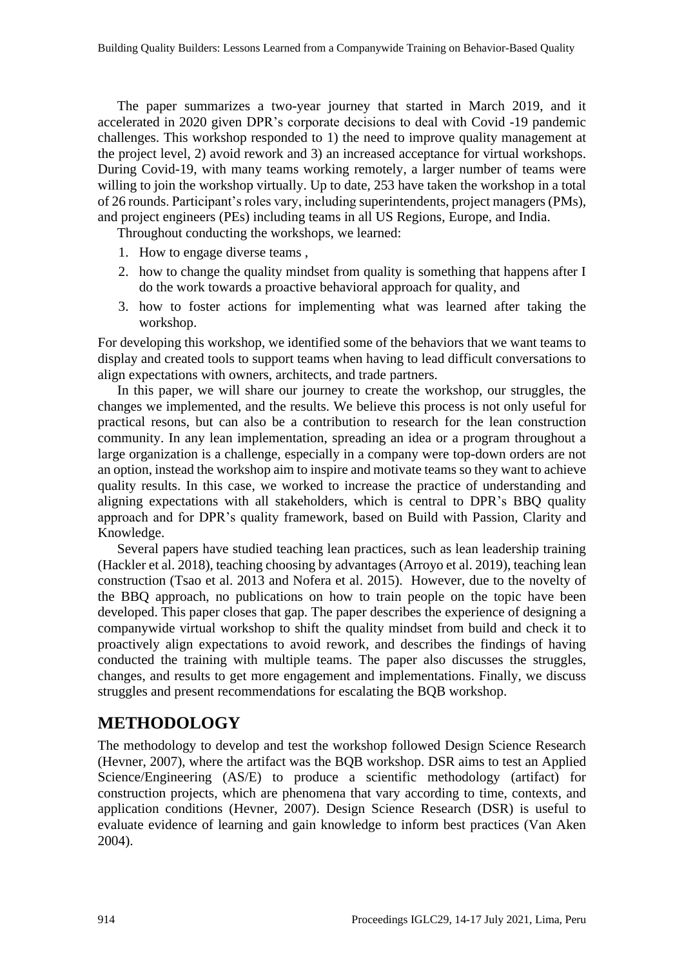The paper summarizes a two-year journey that started in March 2019, and it accelerated in 2020 given DPR's corporate decisions to deal with Covid -19 pandemic challenges. This workshop responded to 1) the need to improve quality management at the project level, 2) avoid rework and 3) an increased acceptance for virtual workshops. During Covid-19, with many teams working remotely, a larger number of teams were willing to join the workshop virtually. Up to date, 253 have taken the workshop in a total of 26 rounds. Participant's roles vary, including superintendents, project managers (PMs), and project engineers (PEs) including teams in all US Regions, Europe, and India.

Throughout conducting the workshops, we learned:

- 1. How to engage diverse teams ,
- 2. how to change the quality mindset from quality is something that happens after I do the work towards a proactive behavioral approach for quality, and
- 3. how to foster actions for implementing what was learned after taking the workshop.

For developing this workshop, we identified some of the behaviors that we want teams to display and created tools to support teams when having to lead difficult conversations to align expectations with owners, architects, and trade partners.

In this paper, we will share our journey to create the workshop, our struggles, the changes we implemented, and the results. We believe this process is not only useful for practical resons, but can also be a contribution to research for the lean construction community. In any lean implementation, spreading an idea or a program throughout a large organization is a challenge, especially in a company were top-down orders are not an option, instead the workshop aim to inspire and motivate teams so they want to achieve quality results. In this case, we worked to increase the practice of understanding and aligning expectations with all stakeholders, which is central to DPR's BBQ quality approach and for DPR's quality framework, based on Build with Passion, Clarity and Knowledge.

Several papers have studied teaching lean practices, such as lean leadership training (Hackler et al. 2018), teaching choosing by advantages (Arroyo et al. 2019), teaching lean construction (Tsao et al. 2013 and Nofera et al. 2015). However, due to the novelty of the BBQ approach, no publications on how to train people on the topic have been developed. This paper closes that gap. The paper describes the experience of designing a companywide virtual workshop to shift the quality mindset from build and check it to proactively align expectations to avoid rework, and describes the findings of having conducted the training with multiple teams. The paper also discusses the struggles, changes, and results to get more engagement and implementations. Finally, we discuss struggles and present recommendations for escalating the BQB workshop.

## **METHODOLOGY**

The methodology to develop and test the workshop followed Design Science Research (Hevner, 2007), where the artifact was the BQB workshop. DSR aims to test an Applied Science/Engineering (AS/E) to produce a scientific methodology (artifact) for construction projects, which are phenomena that vary according to time, contexts, and application conditions (Hevner, 2007). Design Science Research (DSR) is useful to evaluate evidence of learning and gain knowledge to inform best practices (Van Aken 2004).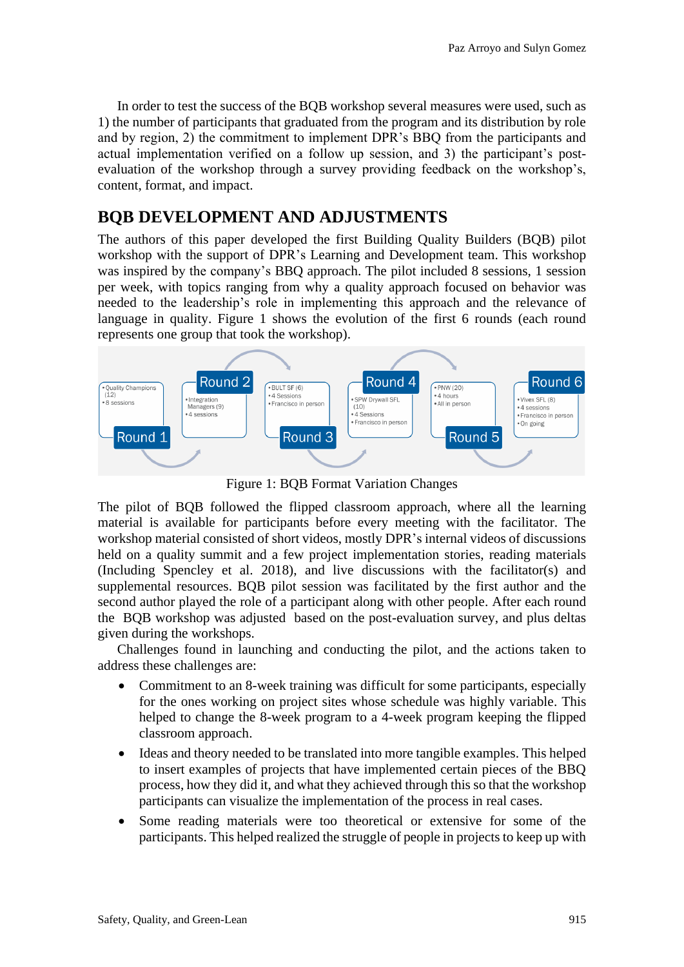In order to test the success of the BQB workshop several measures were used, such as 1) the number of participants that graduated from the program and its distribution by role and by region, 2) the commitment to implement DPR's BBQ from the participants and actual implementation verified on a follow up session, and 3) the participant's postevaluation of the workshop through a survey providing feedback on the workshop's, content, format, and impact.

## **BQB DEVELOPMENT AND ADJUSTMENTS**

The authors of this paper developed the first Building Quality Builders (BQB) pilot workshop with the support of DPR's Learning and Development team. This workshop was inspired by the company's BBQ approach. The pilot included 8 sessions, 1 session per week, with topics ranging from why a quality approach focused on behavior was needed to the leadership's role in implementing this approach and the relevance of language in quality. Figure 1 shows the evolution of the first 6 rounds (each round represents one group that took the workshop).



Figure 1: BQB Format Variation Changes

The pilot of BQB followed the flipped classroom approach, where all the learning material is available for participants before every meeting with the facilitator. The workshop material consisted of short videos, mostly DPR's internal videos of discussions held on a quality summit and a few project implementation stories, reading materials (Including Spencley et al. 2018), and live discussions with the facilitator(s) and supplemental resources. BQB pilot session was facilitated by the first author and the second author played the role of a participant along with other people. After each round the BQB workshop was adjusted based on the post-evaluation survey, and plus deltas given during the workshops.

Challenges found in launching and conducting the pilot, and the actions taken to address these challenges are:

- Commitment to an 8-week training was difficult for some participants, especially for the ones working on project sites whose schedule was highly variable. This helped to change the 8-week program to a 4-week program keeping the flipped classroom approach.
- Ideas and theory needed to be translated into more tangible examples. This helped to insert examples of projects that have implemented certain pieces of the BBQ process, how they did it, and what they achieved through this so that the workshop participants can visualize the implementation of the process in real cases.
- Some reading materials were too theoretical or extensive for some of the participants. This helped realized the struggle of people in projects to keep up with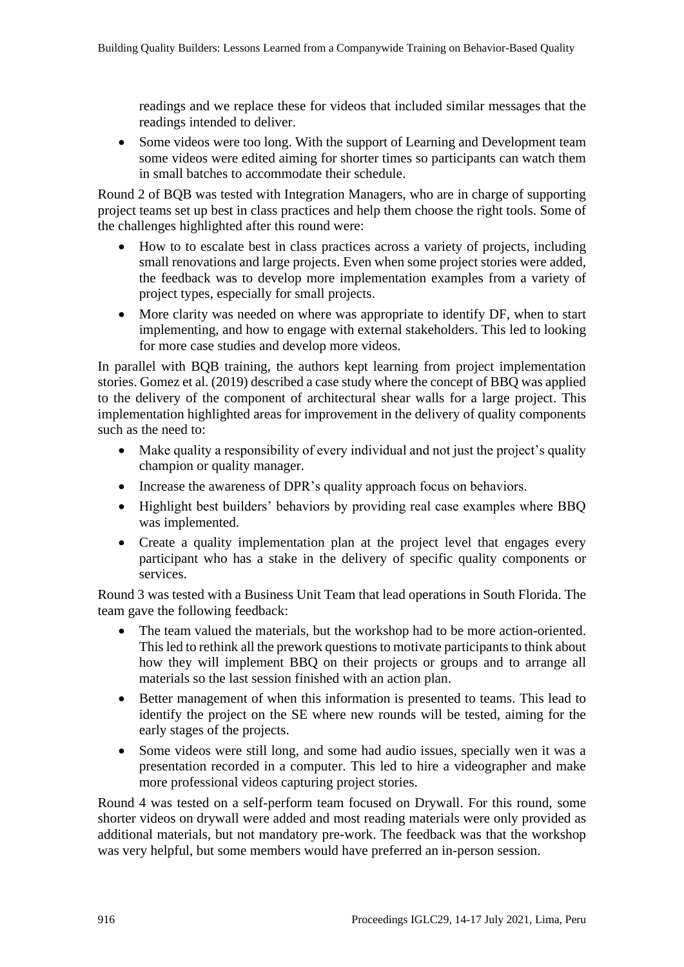readings and we replace these for videos that included similar messages that the readings intended to deliver.

• Some videos were too long. With the support of Learning and Development team some videos were edited aiming for shorter times so participants can watch them in small batches to accommodate their schedule.

Round 2 of BQB was tested with Integration Managers, who are in charge of supporting project teams set up best in class practices and help them choose the right tools. Some of the challenges highlighted after this round were:

- How to to escalate best in class practices across a variety of projects, including small renovations and large projects. Even when some project stories were added, the feedback was to develop more implementation examples from a variety of project types, especially for small projects.
- More clarity was needed on where was appropriate to identify DF, when to start implementing, and how to engage with external stakeholders. This led to looking for more case studies and develop more videos.

In parallel with BQB training, the authors kept learning from project implementation stories. Gomez et al. (2019) described a case study where the concept of BBQ was applied to the delivery of the component of architectural shear walls for a large project. This implementation highlighted areas for improvement in the delivery of quality components such as the need to:

- Make quality a responsibility of every individual and not just the project's quality champion or quality manager.
- Increase the awareness of DPR's quality approach focus on behaviors.
- Highlight best builders' behaviors by providing real case examples where BBQ was implemented.
- Create a quality implementation plan at the project level that engages every participant who has a stake in the delivery of specific quality components or services.

Round 3 was tested with a Business Unit Team that lead operations in South Florida. The team gave the following feedback:

- The team valued the materials, but the workshop had to be more action-oriented. This led to rethink all the prework questions to motivate participants to think about how they will implement BBQ on their projects or groups and to arrange all materials so the last session finished with an action plan.
- Better management of when this information is presented to teams. This lead to identify the project on the SE where new rounds will be tested, aiming for the early stages of the projects.
- Some videos were still long, and some had audio issues, specially wen it was a presentation recorded in a computer. This led to hire a videographer and make more professional videos capturing project stories.

Round 4 was tested on a self-perform team focused on Drywall. For this round, some shorter videos on drywall were added and most reading materials were only provided as additional materials, but not mandatory pre-work. The feedback was that the workshop was very helpful, but some members would have preferred an in-person session.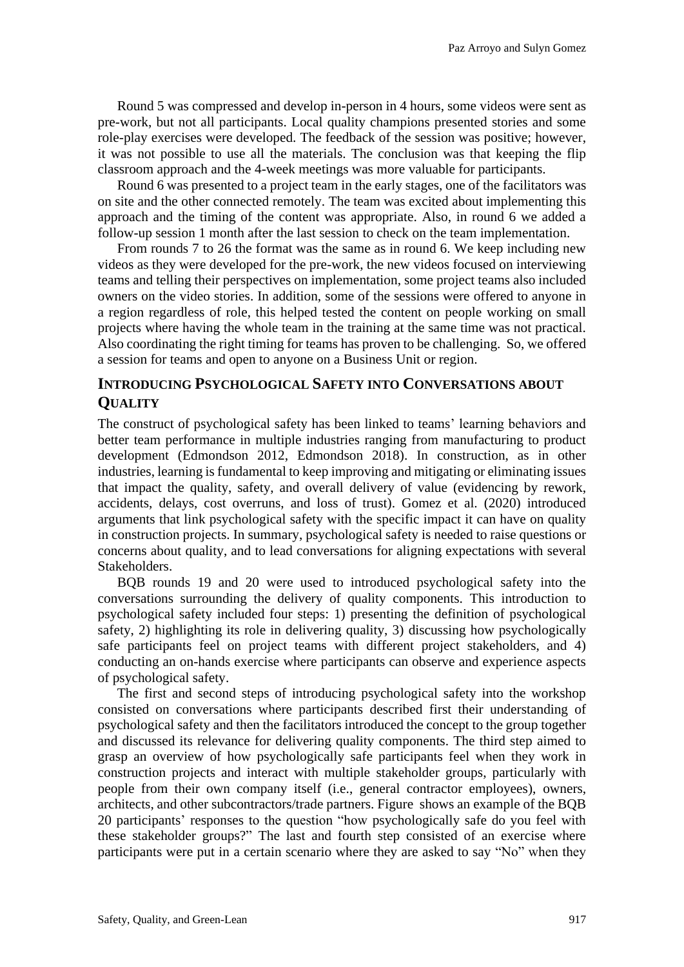Round 5 was compressed and develop in-person in 4 hours, some videos were sent as pre-work, but not all participants. Local quality champions presented stories and some role-play exercises were developed. The feedback of the session was positive; however, it was not possible to use all the materials. The conclusion was that keeping the flip classroom approach and the 4-week meetings was more valuable for participants.

Round 6 was presented to a project team in the early stages, one of the facilitators was on site and the other connected remotely. The team was excited about implementing this approach and the timing of the content was appropriate. Also, in round 6 we added a follow-up session 1 month after the last session to check on the team implementation.

From rounds 7 to 26 the format was the same as in round 6. We keep including new videos as they were developed for the pre-work, the new videos focused on interviewing teams and telling their perspectives on implementation, some project teams also included owners on the video stories. In addition, some of the sessions were offered to anyone in a region regardless of role, this helped tested the content on people working on small projects where having the whole team in the training at the same time was not practical. Also coordinating the right timing for teams has proven to be challenging. So, we offered a session for teams and open to anyone on a Business Unit or region.

#### **INTRODUCING PSYCHOLOGICAL SAFETY INTO CONVERSATIONS ABOUT QUALITY**

The construct of psychological safety has been linked to teams' learning behaviors and better team performance in multiple industries ranging from manufacturing to product development (Edmondson 2012, Edmondson 2018). In construction, as in other industries, learning is fundamental to keep improving and mitigating or eliminating issues that impact the quality, safety, and overall delivery of value (evidencing by rework, accidents, delays, cost overruns, and loss of trust). Gomez et al. (2020) introduced arguments that link psychological safety with the specific impact it can have on quality in construction projects. In summary, psychological safety is needed to raise questions or concerns about quality, and to lead conversations for aligning expectations with several Stakeholders.

BQB rounds 19 and 20 were used to introduced psychological safety into the conversations surrounding the delivery of quality components. This introduction to psychological safety included four steps: 1) presenting the definition of psychological safety, 2) highlighting its role in delivering quality, 3) discussing how psychologically safe participants feel on project teams with different project stakeholders, and 4) conducting an on-hands exercise where participants can observe and experience aspects of psychological safety.

The first and second steps of introducing psychological safety into the workshop consisted on conversations where participants described first their understanding of psychological safety and then the facilitators introduced the concept to the group together and discussed its relevance for delivering quality components. The third step aimed to grasp an overview of how psychologically safe participants feel when they work in construction projects and interact with multiple stakeholder groups, particularly with people from their own company itself (i.e., general contractor employees), owners, architects, and other subcontractors/trade partners. [Figure](#page-5-0) shows an example of the BQB 20 participants' responses to the question "how psychologically safe do you feel with these stakeholder groups?" The last and fourth step consisted of an exercise where participants were put in a certain scenario where they are asked to say "No" when they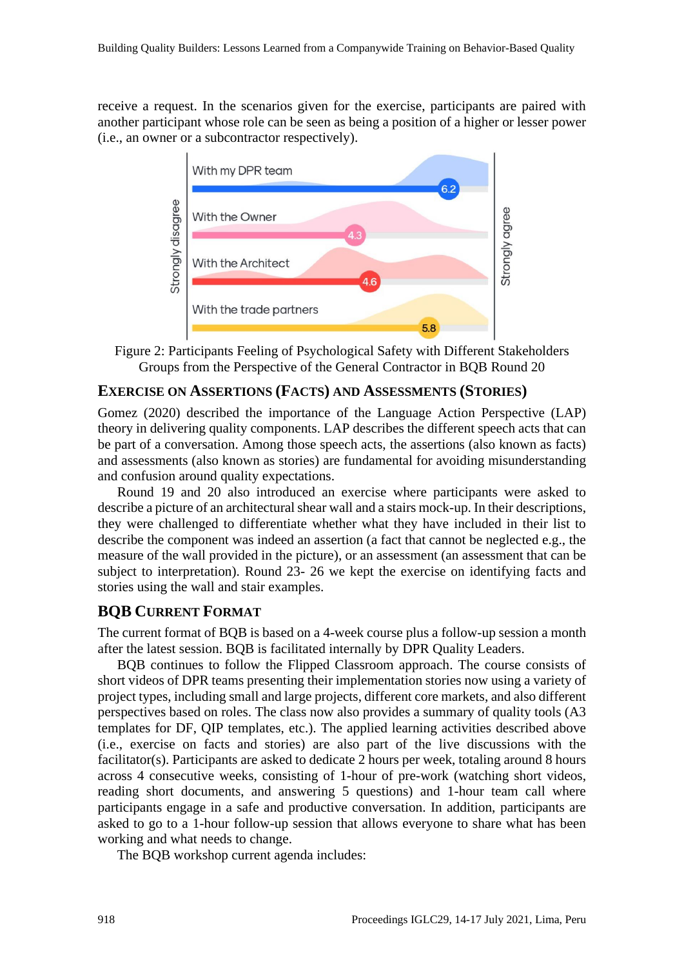receive a request. In the scenarios given for the exercise, participants are paired with another participant whose role can be seen as being a position of a higher or lesser power (i.e., an owner or a subcontractor respectively).



<span id="page-5-0"></span>Figure 2: Participants Feeling of Psychological Safety with Different Stakeholders Groups from the Perspective of the General Contractor in BQB Round 20

#### **EXERCISE ON ASSERTIONS (FACTS) AND ASSESSMENTS (STORIES)**

Gomez (2020) described the importance of the Language Action Perspective (LAP) theory in delivering quality components. LAP describes the different speech acts that can be part of a conversation. Among those speech acts, the assertions (also known as facts) and assessments (also known as stories) are fundamental for avoiding misunderstanding and confusion around quality expectations.

Round 19 and 20 also introduced an exercise where participants were asked to describe a picture of an architectural shear wall and a stairs mock-up. In their descriptions, they were challenged to differentiate whether what they have included in their list to describe the component was indeed an assertion (a fact that cannot be neglected e.g., the measure of the wall provided in the picture), or an assessment (an assessment that can be subject to interpretation). Round 23- 26 we kept the exercise on identifying facts and stories using the wall and stair examples.

#### **BQB CURRENT FORMAT**

The current format of BQB is based on a 4-week course plus a follow-up session a month after the latest session. BQB is facilitated internally by DPR Quality Leaders.

BQB continues to follow the Flipped Classroom approach. The course consists of short videos of DPR teams presenting their implementation stories now using a variety of project types, including small and large projects, different core markets, and also different perspectives based on roles. The class now also provides a summary of quality tools (A3 templates for DF, QIP templates, etc.). The applied learning activities described above (i.e., exercise on facts and stories) are also part of the live discussions with the facilitator(s). Participants are asked to dedicate 2 hours per week, totaling around 8 hours across 4 consecutive weeks, consisting of 1-hour of pre-work (watching short videos, reading short documents, and answering 5 questions) and 1-hour team call where participants engage in a safe and productive conversation. In addition, participants are asked to go to a 1-hour follow-up session that allows everyone to share what has been working and what needs to change.

The BQB workshop current agenda includes: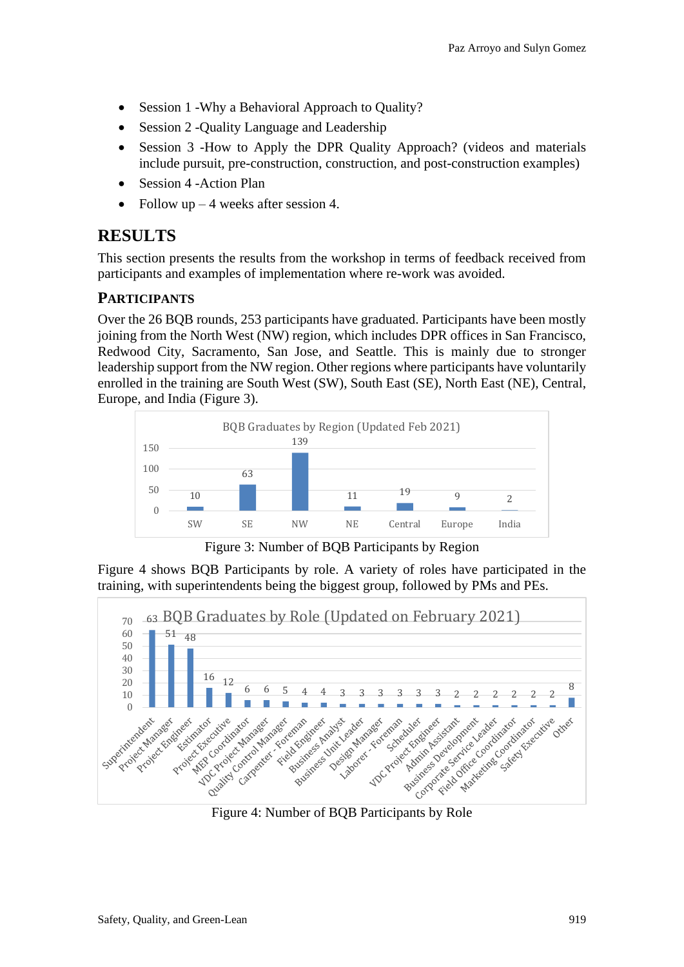- Session 1 Why a Behavioral Approach to Quality?
- Session 2 -Quality Language and Leadership
- Session 3 -How to Apply the DPR Quality Approach? (videos and materials include pursuit, pre-construction, construction, and post-construction examples)
- Session 4 Action Plan
- Follow up  $-4$  weeks after session 4.

## **RESULTS**

This section presents the results from the workshop in terms of feedback received from participants and examples of implementation where re-work was avoided.

#### **PARTICIPANTS**

Over the 26 BQB rounds, 253 participants have graduated. Participants have been mostly joining from the North West (NW) region, which includes DPR offices in San Francisco, Redwood City, Sacramento, San Jose, and Seattle. This is mainly due to stronger leadership support from the NW region. Other regions where participants have voluntarily enrolled in the training are South West (SW), South East (SE), North East (NE), Central, Europe, and India (Figure 3).



Figure 3: Number of BQB Participants by Region

Figure 4 shows BQB Participants by role. A variety of roles have participated in the training, with superintendents being the biggest group, followed by PMs and PEs.

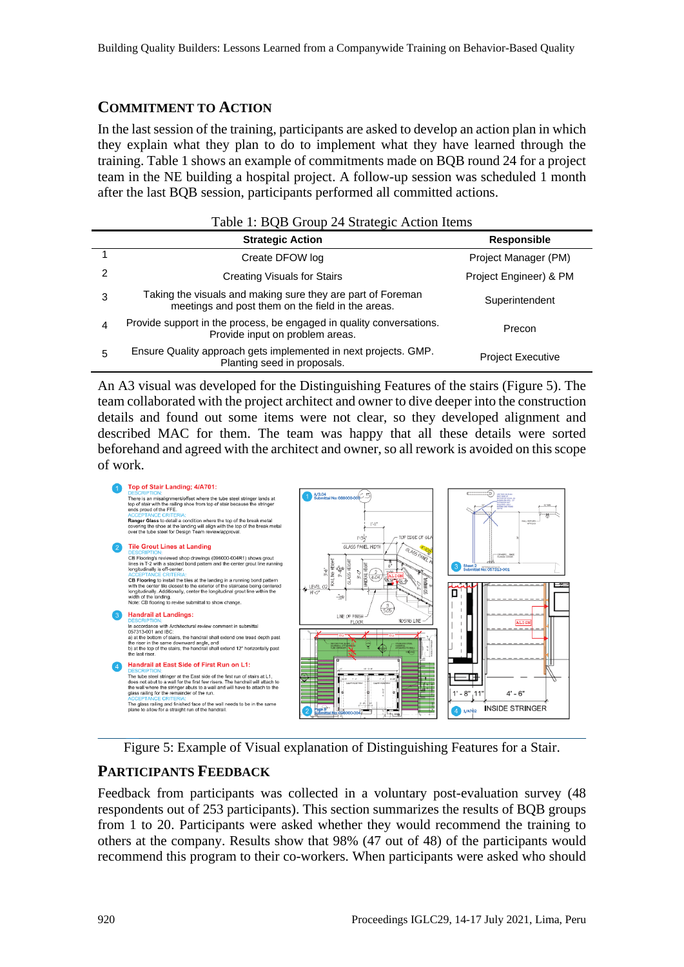#### **COMMITMENT TO ACTION**

In the last session of the training, participants are asked to develop an action plan in which they explain what they plan to do to implement what they have learned through the training. [Table 1](#page-7-0) shows an example of commitments made on BQB round 24 for a project team in the NE building a hospital project. A follow-up session was scheduled 1 month after the last BQB session, participants performed all committed actions.

<span id="page-7-0"></span>

| Table 1: BQB Group 24 Strategic Action Items |                                                                                                                  |                          |
|----------------------------------------------|------------------------------------------------------------------------------------------------------------------|--------------------------|
|                                              | <b>Strategic Action</b>                                                                                          | <b>Responsible</b>       |
|                                              | Create DFOW log                                                                                                  | Project Manager (PM)     |
| 2                                            | <b>Creating Visuals for Stairs</b>                                                                               | Project Engineer) & PM   |
| 3                                            | Taking the visuals and making sure they are part of Foreman<br>meetings and post them on the field in the areas. | Superintendent           |
| 4                                            | Provide support in the process, be engaged in quality conversations.<br>Provide input on problem areas.          | Precon                   |
| 5                                            | Ensure Quality approach gets implemented in next projects. GMP.<br>Planting seed in proposals.                   | <b>Project Executive</b> |

An A3 visual was developed for the Distinguishing Features of the stairs (Figure 5). The team collaborated with the project architect and owner to dive deeper into the construction details and found out some items were not clear, so they developed alignment and described MAC for them. The team was happy that all these details were sorted beforehand and agreed with the architect and owner, so all rework is avoided on this scope of work.



Figure 5: Example of Visual explanation of Distinguishing Features for a Stair.

#### **PARTICIPANTS FEEDBACK**

Feedback from participants was collected in a voluntary post-evaluation survey (48 respondents out of 253 participants). This section summarizes the results of BQB groups from 1 to 20. Participants were asked whether they would recommend the training to others at the company. Results show that 98% (47 out of 48) of the participants would recommend this program to their co-workers. When participants were asked who should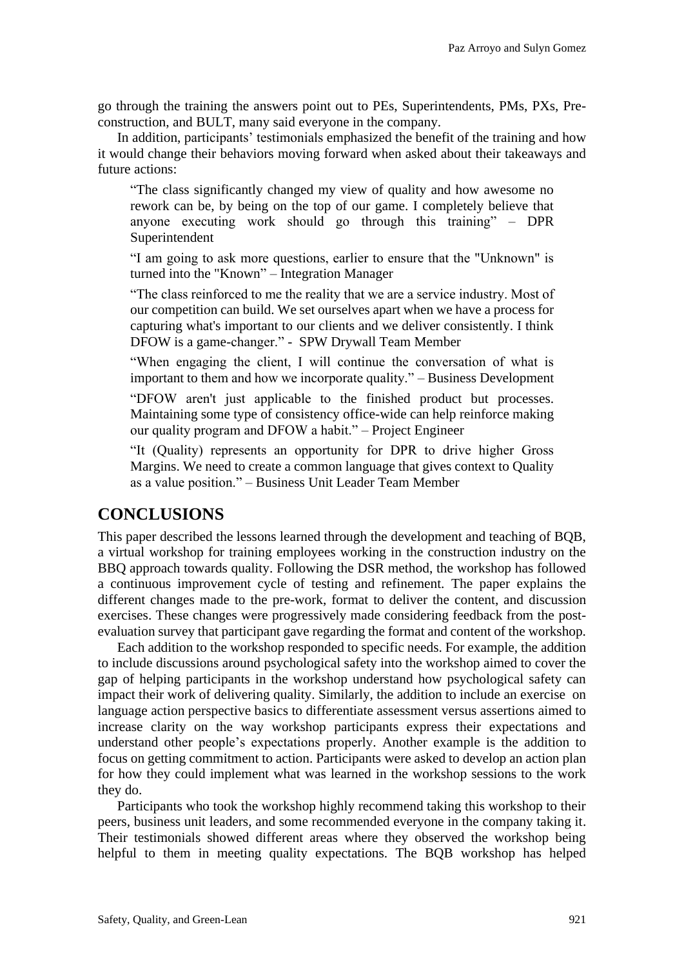go through the training the answers point out to PEs, Superintendents, PMs, PXs, Preconstruction, and BULT, many said everyone in the company.

In addition, participants' testimonials emphasized the benefit of the training and how it would change their behaviors moving forward when asked about their takeaways and future actions:

"The class significantly changed my view of quality and how awesome no rework can be, by being on the top of our game. I completely believe that anyone executing work should go through this training" – DPR Superintendent

"I am going to ask more questions, earlier to ensure that the "Unknown" is turned into the "Known" – Integration Manager

"The class reinforced to me the reality that we are a service industry. Most of our competition can build. We set ourselves apart when we have a process for capturing what's important to our clients and we deliver consistently. I think DFOW is a game-changer." - SPW Drywall Team Member

"When engaging the client, I will continue the conversation of what is important to them and how we incorporate quality." – Business Development

"DFOW aren't just applicable to the finished product but processes. Maintaining some type of consistency office-wide can help reinforce making our quality program and DFOW a habit." – Project Engineer

"It (Quality) represents an opportunity for DPR to drive higher Gross Margins. We need to create a common language that gives context to Quality as a value position." – Business Unit Leader Team Member

## **CONCLUSIONS**

This paper described the lessons learned through the development and teaching of BQB, a virtual workshop for training employees working in the construction industry on the BBQ approach towards quality. Following the DSR method, the workshop has followed a continuous improvement cycle of testing and refinement. The paper explains the different changes made to the pre-work, format to deliver the content, and discussion exercises. These changes were progressively made considering feedback from the postevaluation survey that participant gave regarding the format and content of the workshop.

Each addition to the workshop responded to specific needs. For example, the addition to include discussions around psychological safety into the workshop aimed to cover the gap of helping participants in the workshop understand how psychological safety can impact their work of delivering quality. Similarly, the addition to include an exercise on language action perspective basics to differentiate assessment versus assertions aimed to increase clarity on the way workshop participants express their expectations and understand other people's expectations properly. Another example is the addition to focus on getting commitment to action. Participants were asked to develop an action plan for how they could implement what was learned in the workshop sessions to the work they do.

Participants who took the workshop highly recommend taking this workshop to their peers, business unit leaders, and some recommended everyone in the company taking it. Their testimonials showed different areas where they observed the workshop being helpful to them in meeting quality expectations. The BQB workshop has helped